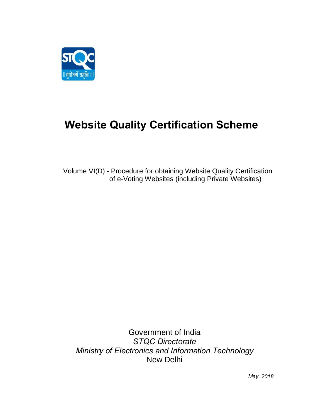

# **Website Quality Certification Scheme**

Volume VI(D) - Procedure for obtaining Website Quality Certification of e-Voting Websites (including Private Websites)

Government of India *STQC Directorate Ministry of Electronics and Information Technology* New Delhi

*May, 2018*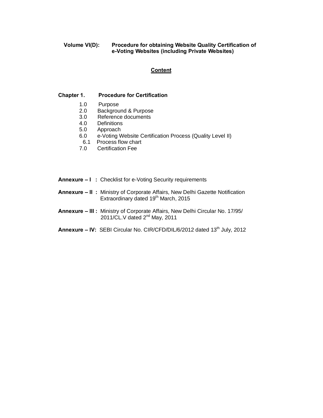# **Volume VI(D): Procedure for obtaining Website Quality Certification of e-Voting Websites (including Private Websites)**

# **Content**

#### **Chapter 1. Procedure for Certification**

- 1.0 Purpose<br>2.0 Backgrou
- 2.0 Background & Purpose<br>3.0 Reference documents
- Reference documents
- 4.0 Definitions
- 5.0 Approach
- 6.0 e-Voting Website Certification Process (Quality Level II)
- 6.1 Process flow chart<br>7.0 Certification Fee
- **Certification Fee**
- **Annexure – I :** Checklist for e-Voting Security requirements
- **Annexure – II :** Ministry of Corporate Affairs, New Delhi Gazette Notification Extraordinary dated 19<sup>th</sup> March, 2015
- **Annexure – III :** Ministry of Corporate Affairs, New Delhi Circular No. 17/95/ 2011/CL.V dated 2nd May, 2011
- **Annexure IV: SEBI Circular No. CIR/CFD/DIL/6/2012 dated 13<sup>th</sup> July, 2012**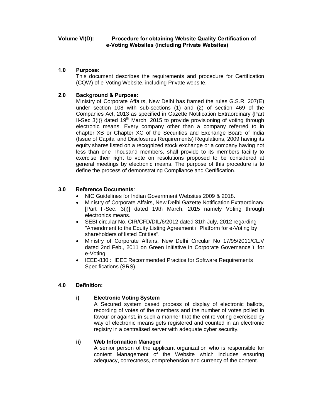#### **Volume VI(D): Procedure for obtaining Website Quality Certification of e-Voting Websites (including Private Websites)**

## **1.0 Purpose:**

This document describes the requirements and procedure for Certification (CQW) of e-Voting Website, including Private website.

# **2.0 Background & Purpose:**

Ministry of Corporate Affairs, New Delhi has framed the rules G.S.R. 207(E) under section 108 with sub-sections (1) and (2) of section 469 of the Companies Act, 2013 as specified in Gazette Notification Extraordinary {Part II-Sec  $3(i)$  dated  $19<sup>th</sup>$  March, 2015 to provide provisioning of voting through electronic means. Every company other than a company referred to in chapter XB or Chapter XC of the Securities and Exchange Board of India (Issue of Capital and Disclosures Requirements) Regulations, 2009 having its equity shares listed on a recognized stock exchange or a company having not less than one Thousand members, shall provide to its members facility to exercise their right to vote on resolutions proposed to be considered at general meetings by electronic means. The purpose of this procedure is to define the process of demonstrating Compliance and Certification.

# **3.0 Reference Documents**:

- · NIC Guidelines for Indian Government Websites 2009 & 2018.
- · Ministry of Corporate Affairs, New Delhi Gazette Notification Extraordinary [Part II-Sec. 3(i)] dated 19th March, 2015 namely Voting through electronics means.
- SEBI circular No. CIR/CFD/DIL/6/2012 dated 31th July, 2012 regarding "Amendment to the Equity Listing Agreement. Platform for e-Voting by shareholders of listed Entities".
- · Ministry of Corporate Affairs, New Delhi Circular No 17/95/2011/CL.V dated 2nd Feb., 2011 on Green Initiative in Corporate Governance – for e-Voting.
- IEEE-830 : IEEE Recommended Practice for Software Requirements Specifications (SRS).

## **4.0 Definition:**

## **i) Electronic Voting System**

A Secured system based process of display of electronic ballots, recording of votes of the members and the number of votes polled in favour or against, in such a manner that the entire voting exercised by way of electronic means gets registered and counted in an electronic registry in a centralised server with adequate cyber security.

## **ii) Web Information Manager**

A senior person of the applicant organization who is responsible for content Management of the Website which includes ensuring adequacy, correctness, comprehension and currency of the content.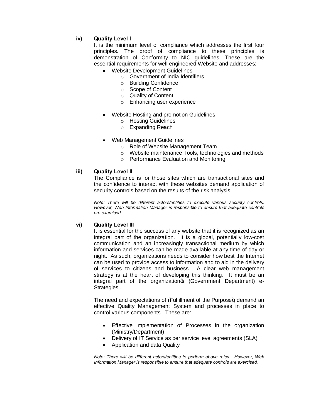# **iv) Quality Level I**

It is the minimum level of compliance which addresses the first four principles. The proof of compliance to these principles is demonstration of Conformity to NIC guidelines. These are the essential requirements for well engineered Website and addresses:

- Website Development Guidelines
	- o Government of India Identifiers
	- o Building Confidence
	- o Scope of Content
	- o Quality of Content
	- o Enhancing user experience
- · Website Hosting and promotion Guidelines
	- o Hosting Guidelines
	- o Expanding Reach
- · Web Management Guidelines
	- o Role of Website Management Team
	- o Website maintenance Tools, technologies and methods
	- o Performance Evaluation and Monitoring

## **iii) Quality Level II**

The Compliance is for those sites which are transactional sites and the confidence to interact with these websites demand application of security controls based on the results of the risk analysis.

*Note: There will be different actors/entities to execute various security controls. However, Web Information Manager is responsible to ensure that adequate controls are exercised.*

#### **vi) Quality Level III**

It is essential for the success of any website that it is recognized as an integral part of the organization. It is a global, potentially low-cost communication and an increasingly transactional medium by which information and services can be made available at any time of day or night. As such, organizations needs to consider how best the Internet can be used to provide access to information and to aid in the delivery of services to citizens and business. A clear web management strategy is at the heart of developing this thinking. It must be an integral part of the organization (Government Department) e-Strategies .

The need and expectations of %Fulfillment of the Purpose+, demand an effective Quality Management System and processes in place to control various components. These are:

- · Effective implementation of Processes in the organization (Ministry/Department)
- · Delivery of IT Service as per service level agreements (SLA)
- · Application and data Quality

*Note: There will be different actors/entities to perform above roles. However, Web Information Manager is responsible to ensure that adequate controls are exercised.*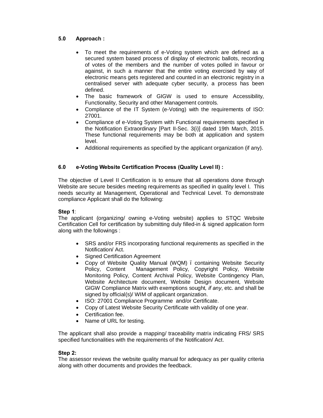# **5.0 Approach :**

- To meet the requirements of e-Voting system which are defined as a secured system based process of display of electronic ballots, recording of votes of the members and the number of votes polled in favour or against, in such a manner that the entire voting exercised by way of electronic means gets registered and counted in an electronic registry in a centralised server with adequate cyber security, a process has been defined.
- The basic framework of GIGW is used to ensure Accessibility, Functionality, Security and other Management controls.
- · Compliance of the IT System (e-Voting) with the requirements of ISO: 27001.
- Compliance of e-Voting System with Functional requirements specified in the Notification Extraordinary [Part II-Sec. 3(i)] dated 19th March, 2015. These functional requirements may be both at application and system level.
- · Additional requirements as specified by the applicant organization (if any).

# **6.0 e-Voting Website Certification Process (Quality Level II) :**

The objective of Level II Certification is to ensure that all operations done through Website are secure besides meeting requirements as specified in quality level I. This needs security at Management, Operational and Technical Level. To demonstrate compliance Applicant shall do the following:

#### **Step 1**:

The applicant (organizing/ owning e-Voting website) applies to STQC Website Certification Cell for certification by submitting duly filled-in & signed application form along with the followings :

- SRS and/or FRS incorporating functional requirements as specified in the Notification/ Act.
- Signed Certification Agreement
- · Copy of Website Quality Manual (WQM) containing Website Security Policy, Content Management Policy, Copyright Policy, Website Monitoring Policy, Content Archival Policy, Website Contingency Plan, Website Architecture document, Website Design document, Website GIGW Compliance Matrix with exemptions sought*, if any*, etc. and shall be signed by official(s)/ WIM of applicant organization.
- · ISO: 27001 Compliance Programme and/or Certificate.
- · Copy of Latest Website Security Certificate with validity of one year.
- · Certification fee.
- · Name of URL for testing.

The applicant shall also provide a mapping/ traceability matrix indicating FRS/ SRS specified functionalities with the requirements of the Notification/ Act.

#### **Step 2:**

The assessor reviews the website quality manual for adequacy as per quality criteria along with other documents and provides the feedback.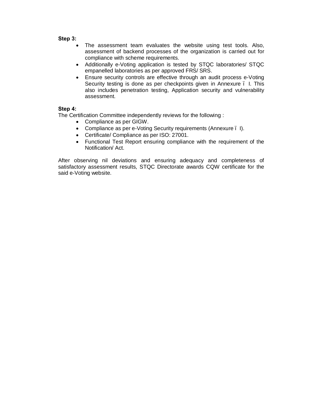#### **Step 3:**

- · The assessment team evaluates the website using test tools. Also, assessment of backend processes of the organization is carried out for compliance with scheme requirements.
- · Additionally e-Voting application is tested by STQC laboratories/ STQC empanelled laboratories as per approved FRS/ SRS.
- · Ensure security controls are effective through an audit process e-Voting Security testing is done as per checkpoints given in Annexure . I. This also includes penetration testing, Application security and vulnerability assessment.

# **Step 4:**

The Certification Committee independently reviews for the following :

- · Compliance as per GIGW.
- · Compliance as per e-Voting Security requirements (Annexure I).
- · Certificate/ Compliance as per ISO: 27001.
- · Functional Test Report ensuring compliance with the requirement of the Notification/ Act.

After observing nil deviations and ensuring adequacy and completeness of satisfactory assessment results, STQC Directorate awards CQW certificate for the said e-Voting website.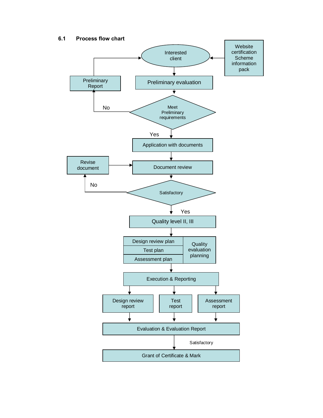# **6.1 Process flow chart**